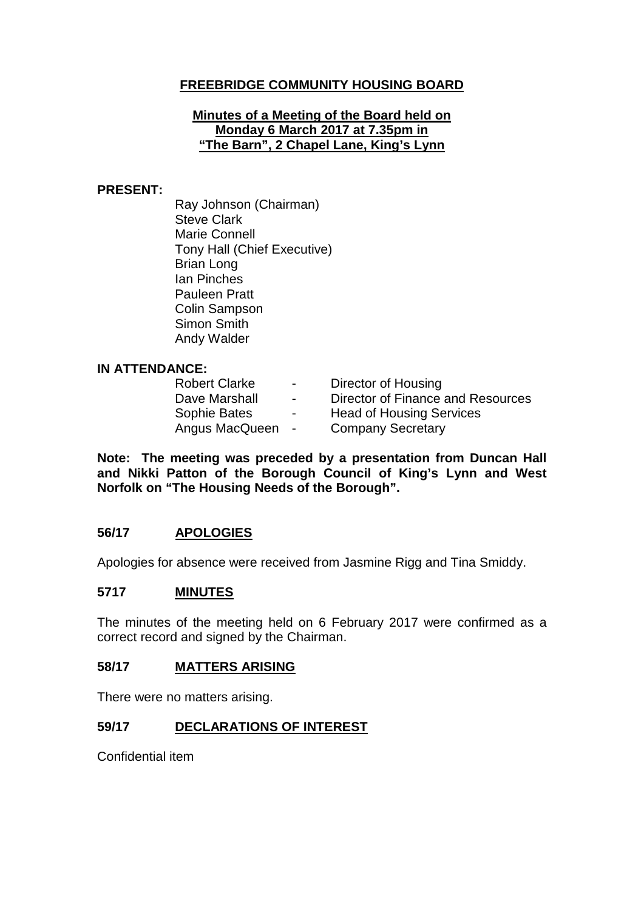# **FREEBRIDGE COMMUNITY HOUSING BOARD**

### **Minutes of a Meeting of the Board held on Monday 6 March 2017 at 7.35pm in "The Barn", 2 Chapel Lane, King's Lynn**

### **PRESENT:**

Ray Johnson (Chairman) Steve Clark Marie Connell Tony Hall (Chief Executive) Brian Long Ian Pinches Pauleen Pratt Colin Sampson Simon Smith Andy Walder

### **IN ATTENDANCE:**

| <b>Robert Clarke</b> | $\blacksquare$ | Director of Housing               |
|----------------------|----------------|-----------------------------------|
| Dave Marshall        | $\sim$         | Director of Finance and Resources |
| Sophie Bates         | $\blacksquare$ | <b>Head of Housing Services</b>   |
| Angus MacQueen       | $\sim$         | <b>Company Secretary</b>          |

**Note: The meeting was preceded by a presentation from Duncan Hall and Nikki Patton of the Borough Council of King's Lynn and West Norfolk on "The Housing Needs of the Borough".**

## **56/17 APOLOGIES**

Apologies for absence were received from Jasmine Rigg and Tina Smiddy.

### **5717 MINUTES**

The minutes of the meeting held on 6 February 2017 were confirmed as a correct record and signed by the Chairman.

### **58/17 MATTERS ARISING**

There were no matters arising.

## **59/17 DECLARATIONS OF INTEREST**

Confidential item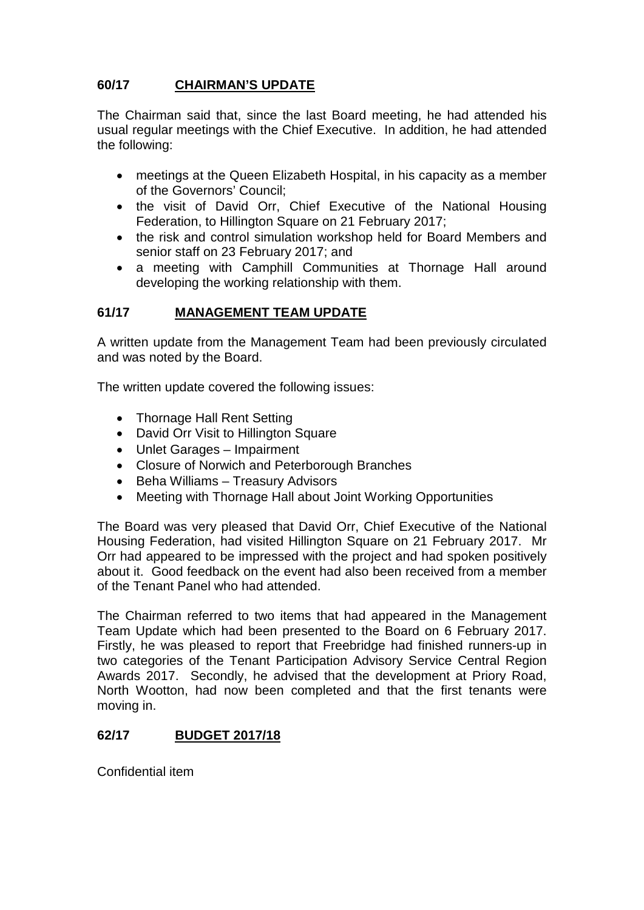# **60/17 CHAIRMAN'S UPDATE**

The Chairman said that, since the last Board meeting, he had attended his usual regular meetings with the Chief Executive. In addition, he had attended the following:

- meetings at the Queen Elizabeth Hospital, in his capacity as a member of the Governors' Council;
- the visit of David Orr, Chief Executive of the National Housing Federation, to Hillington Square on 21 February 2017;
- the risk and control simulation workshop held for Board Members and senior staff on 23 February 2017; and
- a meeting with Camphill Communities at Thornage Hall around developing the working relationship with them.

# **61/17 MANAGEMENT TEAM UPDATE**

A written update from the Management Team had been previously circulated and was noted by the Board.

The written update covered the following issues:

- Thornage Hall Rent Setting
- David Orr Visit to Hillington Square
- Unlet Garages Impairment
- Closure of Norwich and Peterborough Branches
- Beha Williams Treasury Advisors
- Meeting with Thornage Hall about Joint Working Opportunities

The Board was very pleased that David Orr, Chief Executive of the National Housing Federation, had visited Hillington Square on 21 February 2017. Mr Orr had appeared to be impressed with the project and had spoken positively about it. Good feedback on the event had also been received from a member of the Tenant Panel who had attended.

The Chairman referred to two items that had appeared in the Management Team Update which had been presented to the Board on 6 February 2017. Firstly, he was pleased to report that Freebridge had finished runners-up in two categories of the Tenant Participation Advisory Service Central Region Awards 2017. Secondly, he advised that the development at Priory Road, North Wootton, had now been completed and that the first tenants were moving in.

## **62/17 BUDGET 2017/18**

Confidential item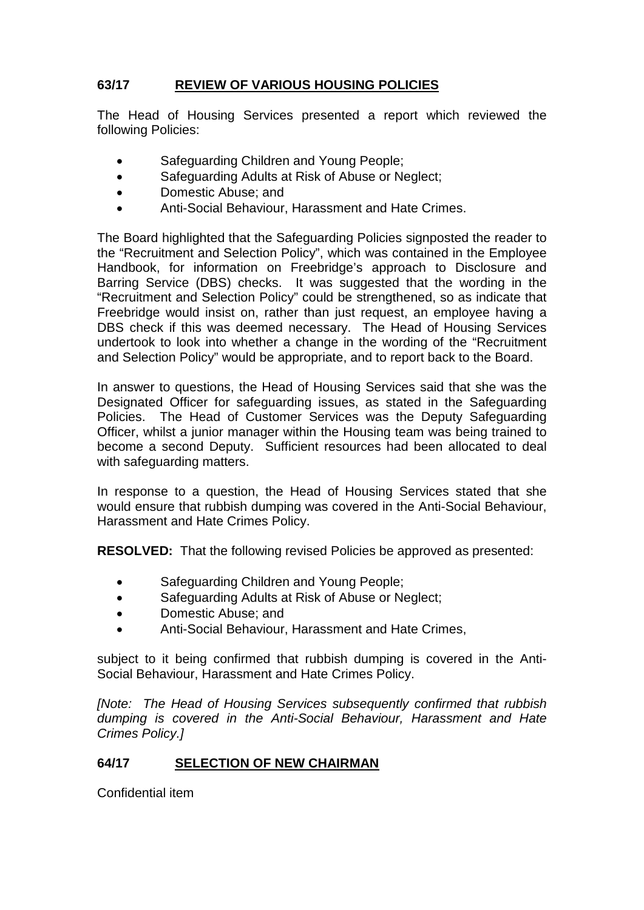# **63/17 REVIEW OF VARIOUS HOUSING POLICIES**

The Head of Housing Services presented a report which reviewed the following Policies:

- Safeguarding Children and Young People;
- Safeguarding Adults at Risk of Abuse or Neglect;
- Domestic Abuse; and
- Anti-Social Behaviour, Harassment and Hate Crimes.

The Board highlighted that the Safeguarding Policies signposted the reader to the "Recruitment and Selection Policy", which was contained in the Employee Handbook, for information on Freebridge's approach to Disclosure and Barring Service (DBS) checks. It was suggested that the wording in the "Recruitment and Selection Policy" could be strengthened, so as indicate that Freebridge would insist on, rather than just request, an employee having a DBS check if this was deemed necessary. The Head of Housing Services undertook to look into whether a change in the wording of the "Recruitment and Selection Policy" would be appropriate, and to report back to the Board.

In answer to questions, the Head of Housing Services said that she was the Designated Officer for safeguarding issues, as stated in the Safeguarding Policies. The Head of Customer Services was the Deputy Safeguarding Officer, whilst a junior manager within the Housing team was being trained to become a second Deputy. Sufficient resources had been allocated to deal with safeguarding matters.

In response to a question, the Head of Housing Services stated that she would ensure that rubbish dumping was covered in the Anti-Social Behaviour, Harassment and Hate Crimes Policy.

**RESOLVED:** That the following revised Policies be approved as presented:

- Safeguarding Children and Young People;
- Safeguarding Adults at Risk of Abuse or Neglect;
- Domestic Abuse; and
- Anti-Social Behaviour, Harassment and Hate Crimes,

subject to it being confirmed that rubbish dumping is covered in the Anti-Social Behaviour, Harassment and Hate Crimes Policy.

*[Note: The Head of Housing Services subsequently confirmed that rubbish dumping is covered in the Anti-Social Behaviour, Harassment and Hate Crimes Policy.]*

# **64/17 SELECTION OF NEW CHAIRMAN**

Confidential item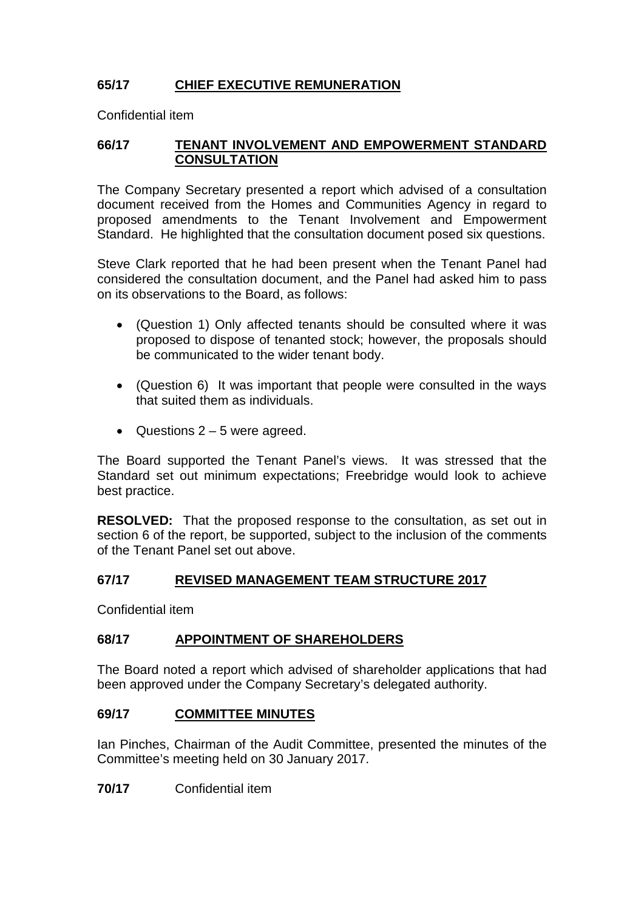# **65/17 CHIEF EXECUTIVE REMUNERATION**

Confidential item

# **66/17 TENANT INVOLVEMENT AND EMPOWERMENT STANDARD CONSULTATION**

The Company Secretary presented a report which advised of a consultation document received from the Homes and Communities Agency in regard to proposed amendments to the Tenant Involvement and Empowerment Standard. He highlighted that the consultation document posed six questions.

Steve Clark reported that he had been present when the Tenant Panel had considered the consultation document, and the Panel had asked him to pass on its observations to the Board, as follows:

- (Question 1) Only affected tenants should be consulted where it was proposed to dispose of tenanted stock; however, the proposals should be communicated to the wider tenant body.
- (Question 6) It was important that people were consulted in the ways that suited them as individuals.
- Questions  $2 5$  were agreed.

The Board supported the Tenant Panel's views. It was stressed that the Standard set out minimum expectations; Freebridge would look to achieve best practice.

**RESOLVED:** That the proposed response to the consultation, as set out in section 6 of the report, be supported, subject to the inclusion of the comments of the Tenant Panel set out above.

## **67/17 REVISED MANAGEMENT TEAM STRUCTURE 2017**

Confidential item

# **68/17 APPOINTMENT OF SHAREHOLDERS**

The Board noted a report which advised of shareholder applications that had been approved under the Company Secretary's delegated authority.

## **69/17 COMMITTEE MINUTES**

Ian Pinches, Chairman of the Audit Committee, presented the minutes of the Committee's meeting held on 30 January 2017.

**70/17** Confidential item